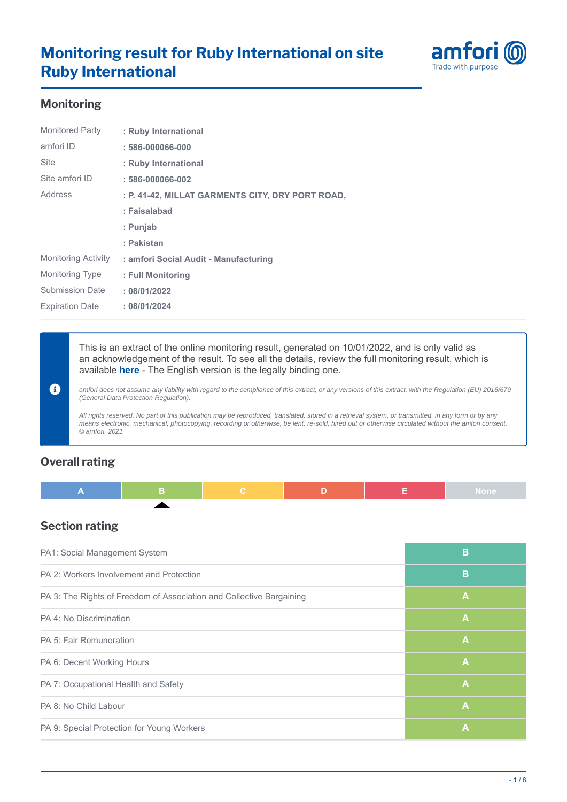# **Monitoring result for Ruby International on site Ruby International**



### **Monitoring**

| <b>Monitored Party</b>     | : Ruby International                             |
|----------------------------|--------------------------------------------------|
| amfori ID                  | $: 586 - 000066 - 000$                           |
| <b>Site</b>                | : Ruby International                             |
| Site amfori ID             | $: 586 - 000066 - 002$                           |
| Address                    | : P. 41-42, MILLAT GARMENTS CITY, DRY PORT ROAD, |
|                            | : Faisalabad                                     |
|                            | : Punjab                                         |
|                            | : Pakistan                                       |
| <b>Monitoring Activity</b> | : amfori Social Audit - Manufacturing            |
| <b>Monitoring Type</b>     | : Full Monitoring                                |
| <b>Submission Date</b>     | : 08/01/2022                                     |
| <b>Expiration Date</b>     | : 08/01/2024                                     |

This is an extract of the online monitoring result, generated on 10/01/2022, and is only valid as an acknowledgement of the result. To see all the details, review the full monitoring result, which is available **[here](https://platform.amfori.org/monitoring-result/21-0113378)** - The English version is the legally binding one.

amfori does not assume any liability with regard to the compliance of this extract, or any versions of this extract, with the Regulation (EU) 2016/679 (General Data Protection Regulation).

All rights reserved. No part of this publication may be reproduced, translated, stored in a retrieval system, or transmitted, in any form or by any means electronic, mechanical, photocopying, recording or otherwise, be lent, re-sold, hired out or otherwise circulated without the amfori consent. © amfori, 2021

## **Overall rating**

 $\bullet$ 

## **Section rating**

| PA1: Social Management System                                        | B            |
|----------------------------------------------------------------------|--------------|
| PA 2: Workers Involvement and Protection                             | B            |
| PA 3: The Rights of Freedom of Association and Collective Bargaining | A            |
| PA 4: No Discrimination                                              | A)           |
| PA 5: Fair Remuneration                                              | A            |
| PA 6: Decent Working Hours                                           | A            |
| PA 7: Occupational Health and Safety                                 | A,           |
| PA 8: No Child Labour                                                | $\mathsf{A}$ |
| PA 9: Special Protection for Young Workers                           | A            |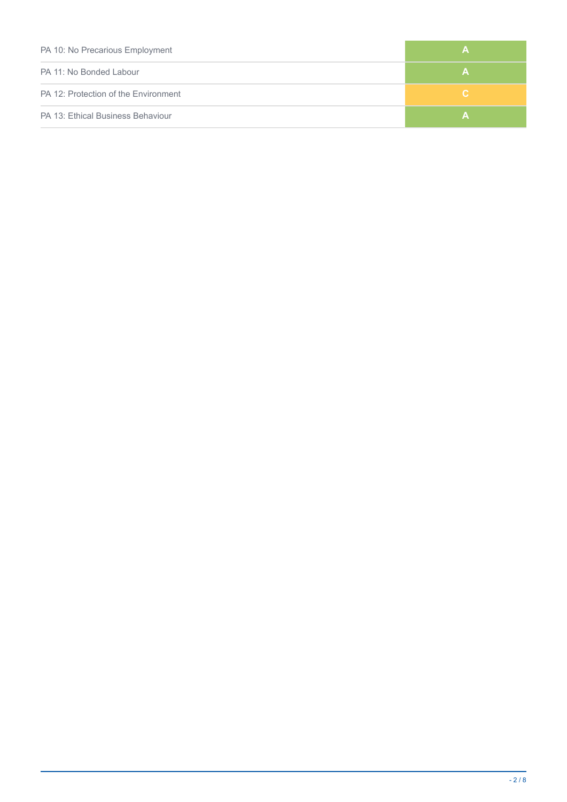| PA 10: No Precarious Employment      | А  |
|--------------------------------------|----|
| PA 11: No Bonded Labour              | A  |
| PA 12: Protection of the Environment | C. |
| PA 13: Ethical Business Behaviour    | A  |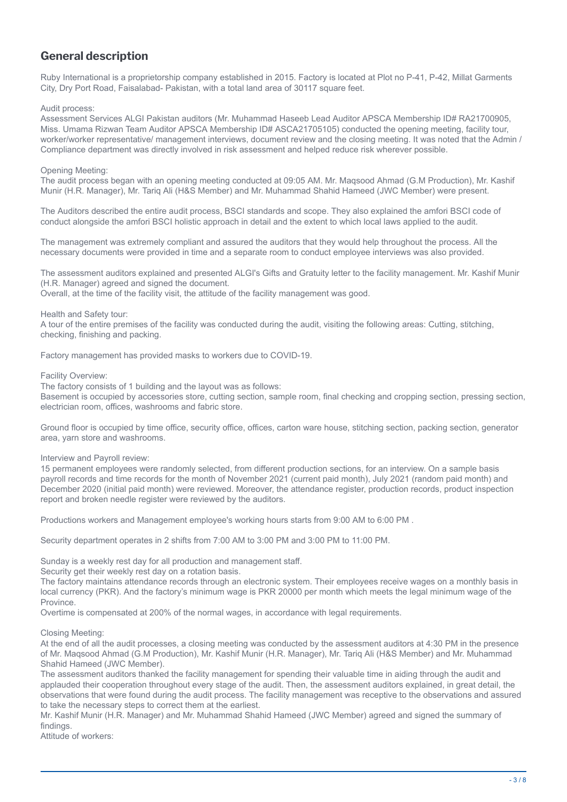## **General description**

Ruby International is a proprietorship company established in 2015. Factory is located at Plot no P-41, P-42, Millat Garments City, Dry Port Road, Faisalabad- Pakistan, with a total land area of 30117 square feet.

Audit process:

Assessment Services ALGI Pakistan auditors (Mr. Muhammad Haseeb Lead Auditor APSCA Membership ID# RA21700905, Miss. Umama Rizwan Team Auditor APSCA Membership ID# ASCA21705105) conducted the opening meeting, facility tour, worker/worker representative/ management interviews, document review and the closing meeting. It was noted that the Admin / Compliance department was directly involved in risk assessment and helped reduce risk wherever possible.

Opening Meeting:

The audit process began with an opening meeting conducted at 09:05 AM. Mr. Maqsood Ahmad (G.M Production), Mr. Kashif Munir (H.R. Manager), Mr. Tariq Ali (H&S Member) and Mr. Muhammad Shahid Hameed (JWC Member) were present.

The Auditors described the entire audit process, BSCI standards and scope. They also explained the amfori BSCI code of conduct alongside the amfori BSCI holistic approach in detail and the extent to which local laws applied to the audit.

The management was extremely compliant and assured the auditors that they would help throughout the process. All the necessary documents were provided in time and a separate room to conduct employee interviews was also provided.

The assessment auditors explained and presented ALGI's Gifts and Gratuity letter to the facility management. Mr. Kashif Munir (H.R. Manager) agreed and signed the document.

Overall, at the time of the facility visit, the attitude of the facility management was good.

Health and Safety tour:

A tour of the entire premises of the facility was conducted during the audit, visiting the following areas: Cutting, stitching, checking, finishing and packing.

Factory management has provided masks to workers due to COVID-19.

Facility Overview:

The factory consists of 1 building and the layout was as follows:

Basement is occupied by accessories store, cutting section, sample room, final checking and cropping section, pressing section, electrician room, offices, washrooms and fabric store.

Ground floor is occupied by time office, security office, offices, carton ware house, stitching section, packing section, generator area, yarn store and washrooms.

Interview and Payroll review:

15 permanent employees were randomly selected, from different production sections, for an interview. On a sample basis payroll records and time records for the month of November 2021 (current paid month), July 2021 (random paid month) and December 2020 (initial paid month) were reviewed. Moreover, the attendance register, production records, product inspection report and broken needle register were reviewed by the auditors.

Productions workers and Management employee's working hours starts from 9:00 AM to 6:00 PM .

Security department operates in 2 shifts from 7:00 AM to 3:00 PM and 3:00 PM to 11:00 PM.

Sunday is a weekly rest day for all production and management staff.

Security get their weekly rest day on a rotation basis.

The factory maintains attendance records through an electronic system. Their employees receive wages on a monthly basis in local currency (PKR). And the factory's minimum wage is PKR 20000 per month which meets the legal minimum wage of the Province.

Overtime is compensated at 200% of the normal wages, in accordance with legal requirements.

Closing Meeting:

At the end of all the audit processes, a closing meeting was conducted by the assessment auditors at 4:30 PM in the presence of Mr. Maqsood Ahmad (G.M Production), Mr. Kashif Munir (H.R. Manager), Mr. Tariq Ali (H&S Member) and Mr. Muhammad Shahid Hameed (JWC Member).

The assessment auditors thanked the facility management for spending their valuable time in aiding through the audit and applauded their cooperation throughout every stage of the audit. Then, the assessment auditors explained, in great detail, the observations that were found during the audit process. The facility management was receptive to the observations and assured to take the necessary steps to correct them at the earliest.

Mr. Kashif Munir (H.R. Manager) and Mr. Muhammad Shahid Hameed (JWC Member) agreed and signed the summary of findings.

Attitude of workers: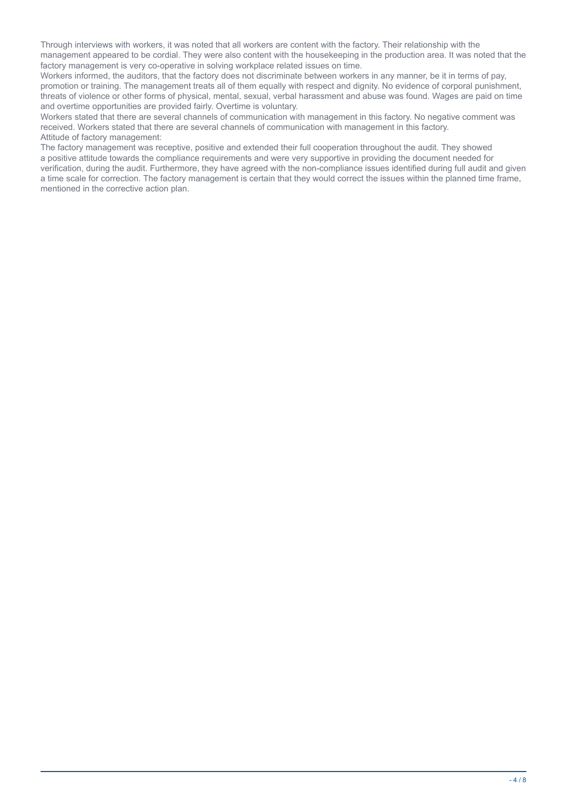Through interviews with workers, it was noted that all workers are content with the factory. Their relationship with the management appeared to be cordial. They were also content with the housekeeping in the production area. It was noted that the factory management is very co-operative in solving workplace related issues on time.

Workers informed, the auditors, that the factory does not discriminate between workers in any manner, be it in terms of pay, promotion or training. The management treats all of them equally with respect and dignity. No evidence of corporal punishment, threats of violence or other forms of physical, mental, sexual, verbal harassment and abuse was found. Wages are paid on time and overtime opportunities are provided fairly. Overtime is voluntary.

Workers stated that there are several channels of communication with management in this factory. No negative comment was received. Workers stated that there are several channels of communication with management in this factory. Attitude of factory management:

The factory management was receptive, positive and extended their full cooperation throughout the audit. They showed a positive attitude towards the compliance requirements and were very supportive in providing the document needed for verification, during the audit. Furthermore, they have agreed with the non-compliance issues identified during full audit and given a time scale for correction. The factory management is certain that they would correct the issues within the planned time frame, mentioned in the corrective action plan.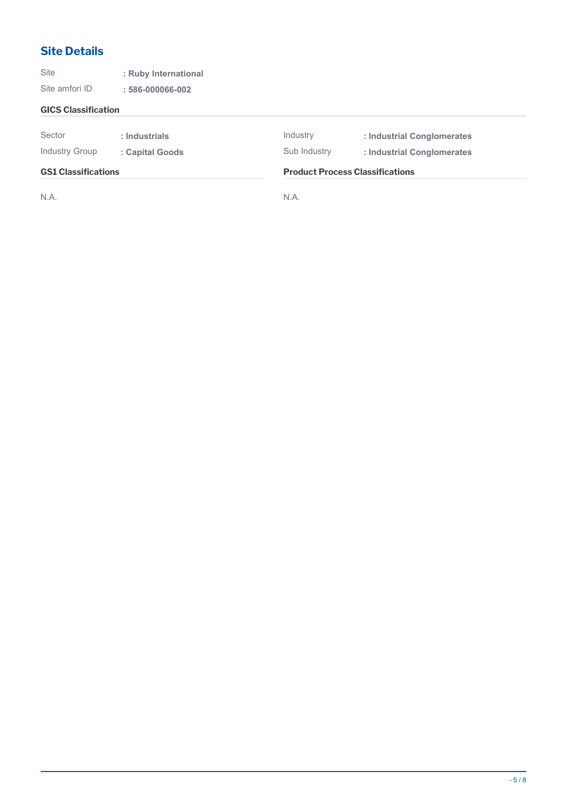## **Site Details**

| Site | : Ruby International |
|------|----------------------|
|      |                      |

Site amfori ID **: 586-000066-002**

#### **GICS Classification**

| Sector<br>Industry Group   | : Industrials<br>: Capital Goods | Industry<br>Sub Industry | : Industrial Conglomerates<br>: Industrial Conglomerates |  |  |
|----------------------------|----------------------------------|--------------------------|----------------------------------------------------------|--|--|
| <b>GS1 Classifications</b> |                                  |                          | <b>Product Process Classifications</b>                   |  |  |
| N.A.                       |                                  | N.A.                     |                                                          |  |  |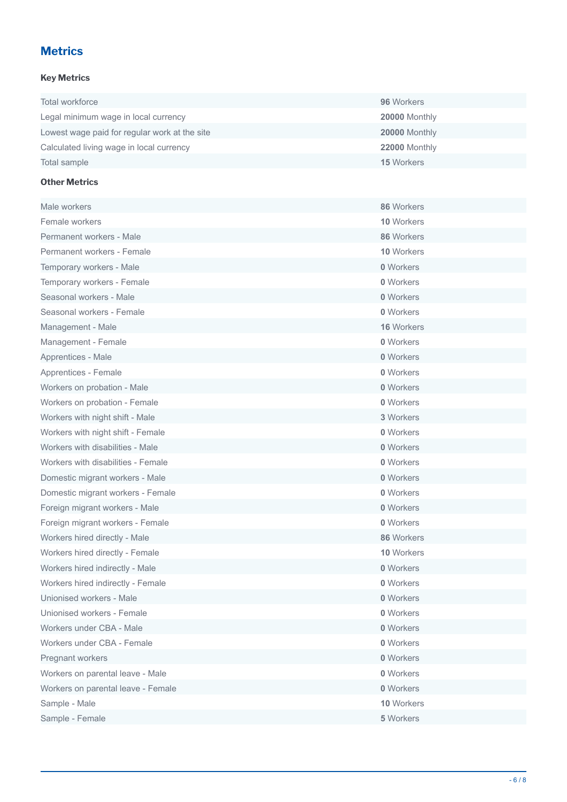## **Metrics**

### **Key Metrics**

| Total workforce                               | <b>96 Workers</b> |
|-----------------------------------------------|-------------------|
| Legal minimum wage in local currency          | 20000 Monthly     |
| Lowest wage paid for regular work at the site | 20000 Monthly     |
| Calculated living wage in local currency      | 22000 Monthly     |
| Total sample                                  | <b>15 Workers</b> |

### **Other Metrics**

| Male workers                       | 86 Workers |
|------------------------------------|------------|
| Female workers                     | 10 Workers |
| Permanent workers - Male           | 86 Workers |
| Permanent workers - Female         | 10 Workers |
| Temporary workers - Male           | 0 Workers  |
| Temporary workers - Female         | 0 Workers  |
| Seasonal workers - Male            | 0 Workers  |
| Seasonal workers - Female          | 0 Workers  |
| Management - Male                  | 16 Workers |
| Management - Female                | 0 Workers  |
| Apprentices - Male                 | 0 Workers  |
| Apprentices - Female               | 0 Workers  |
| Workers on probation - Male        | 0 Workers  |
| Workers on probation - Female      | 0 Workers  |
| Workers with night shift - Male    | 3 Workers  |
| Workers with night shift - Female  | 0 Workers  |
| Workers with disabilities - Male   | 0 Workers  |
| Workers with disabilities - Female | 0 Workers  |
| Domestic migrant workers - Male    | 0 Workers  |
| Domestic migrant workers - Female  | 0 Workers  |
| Foreign migrant workers - Male     | 0 Workers  |
| Foreign migrant workers - Female   | 0 Workers  |
| Workers hired directly - Male      | 86 Workers |
| Workers hired directly - Female    | 10 Workers |
| Workers hired indirectly - Male    | 0 Workers  |
| Workers hired indirectly - Female  | 0 Workers  |
| Unionised workers - Male           | 0 Workers  |
| Unionised workers - Female         | 0 Workers  |
| Workers under CBA - Male           | 0 Workers  |
| Workers under CBA - Female         | 0 Workers  |
| Pregnant workers                   | 0 Workers  |
| Workers on parental leave - Male   | 0 Workers  |
| Workers on parental leave - Female | 0 Workers  |
| Sample - Male                      | 10 Workers |
| Sample - Female                    | 5 Workers  |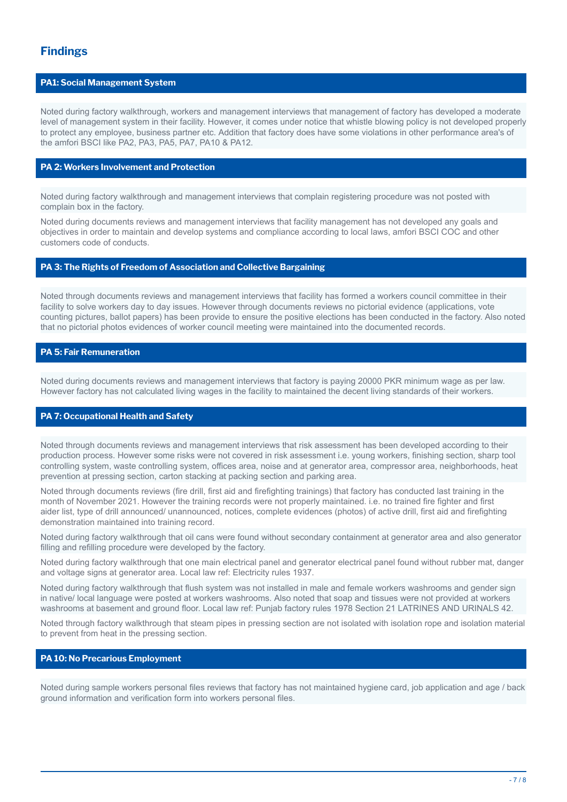#### **PA1: Social Management System**

Noted during factory walkthrough, workers and management interviews that management of factory has developed a moderate level of management system in their facility. However, it comes under notice that whistle blowing policy is not developed properly to protect any employee, business partner etc. Addition that factory does have some violations in other performance area's of the amfori BSCI like PA2, PA3, PA5, PA7, PA10 & PA12.

#### **PA 2: Workers Involvement and Protection**

Noted during factory walkthrough and management interviews that complain registering procedure was not posted with complain box in the factory.

Noted during documents reviews and management interviews that facility management has not developed any goals and objectives in order to maintain and develop systems and compliance according to local laws, amfori BSCI COC and other customers code of conducts.

#### **PA 3: The Rights of Freedom of Association and Collective Bargaining**

Noted through documents reviews and management interviews that facility has formed a workers council committee in their facility to solve workers day to day issues. However through documents reviews no pictorial evidence (applications, vote counting pictures, ballot papers) has been provide to ensure the positive elections has been conducted in the factory. Also noted that no pictorial photos evidences of worker council meeting were maintained into the documented records.

#### **PA 5: Fair Remuneration**

Noted during documents reviews and management interviews that factory is paying 20000 PKR minimum wage as per law. However factory has not calculated living wages in the facility to maintained the decent living standards of their workers.

#### **PA 7: Occupational Health and Safety**

Noted through documents reviews and management interviews that risk assessment has been developed according to their production process. However some risks were not covered in risk assessment i.e. young workers, finishing section, sharp tool controlling system, waste controlling system, offices area, noise and at generator area, compressor area, neighborhoods, heat prevention at pressing section, carton stacking at packing section and parking area.

Noted through documents reviews (fire drill, first aid and firefighting trainings) that factory has conducted last training in the month of November 2021. However the training records were not properly maintained. i.e. no trained fire fighter and first aider list, type of drill announced/ unannounced, notices, complete evidences (photos) of active drill, first aid and firefighting demonstration maintained into training record.

Noted during factory walkthrough that oil cans were found without secondary containment at generator area and also generator filling and refilling procedure were developed by the factory.

Noted during factory walkthrough that one main electrical panel and generator electrical panel found without rubber mat, danger and voltage signs at generator area. Local law ref: Electricity rules 1937.

Noted during factory walkthrough that flush system was not installed in male and female workers washrooms and gender sign in native/ local language were posted at workers washrooms. Also noted that soap and tissues were not provided at workers washrooms at basement and ground floor. Local law ref: Punjab factory rules 1978 Section 21 LATRINES AND URINALS 42.

Noted through factory walkthrough that steam pipes in pressing section are not isolated with isolation rope and isolation material to prevent from heat in the pressing section.

#### **PA 10: No Precarious Employment**

Noted during sample workers personal files reviews that factory has not maintained hygiene card, job application and age / back ground information and verification form into workers personal files.